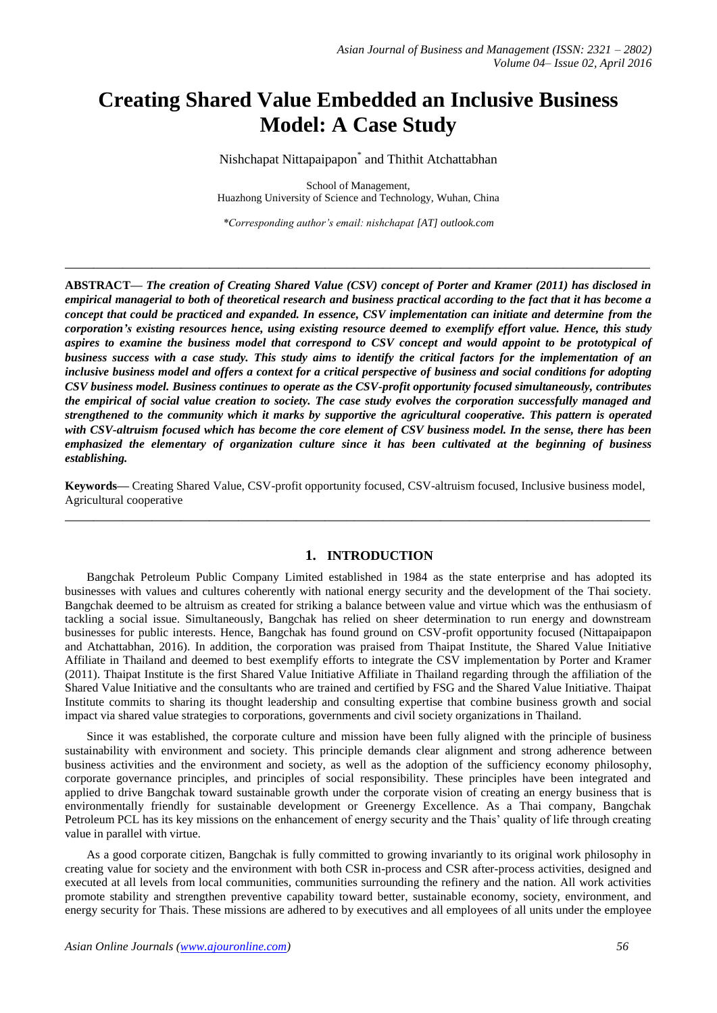# **Creating Shared Value Embedded an Inclusive Business Model: A Case Study**

Nishchapat Nittapaipapon\* and Thithit Atchattabhan

School of Management, Huazhong University of Science and Technology, Wuhan, China

*\*Corresponding author's email: nishchapat [AT] outlook.com*

**\_\_\_\_\_\_\_\_\_\_\_\_\_\_\_\_\_\_\_\_\_\_\_\_\_\_\_\_\_\_\_\_\_\_\_\_\_\_\_\_\_\_\_\_\_\_\_\_\_\_\_\_\_\_\_\_\_\_\_\_\_\_\_\_\_\_\_\_\_\_\_\_\_\_\_\_\_\_\_\_\_**

**ABSTRACT—** *The creation of Creating Shared Value (CSV) concept of Porter and Kramer (2011) has disclosed in empirical managerial to both of theoretical research and business practical according to the fact that it has become a concept that could be practiced and expanded. In essence, CSV implementation can initiate and determine from the corporation's existing resources hence, using existing resource deemed to exemplify effort value. Hence, this study aspires to examine the business model that correspond to CSV concept and would appoint to be prototypical of business success with a case study. This study aims to identify the critical factors for the implementation of an inclusive business model and offers a context for a critical perspective of business and social conditions for adopting CSV business model. Business continues to operate as the CSV-profit opportunity focused simultaneously, contributes the empirical of social value creation to society. The case study evolves the corporation successfully managed and strengthened to the community which it marks by supportive the agricultural cooperative. This pattern is operated with CSV-altruism focused which has become the core element of CSV business model. In the sense, there has been emphasized the elementary of organization culture since it has been cultivated at the beginning of business establishing.*

**Keywords—** Creating Shared Value, CSV-profit opportunity focused, CSV-altruism focused, Inclusive business model, Agricultural cooperative **\_\_\_\_\_\_\_\_\_\_\_\_\_\_\_\_\_\_\_\_\_\_\_\_\_\_\_\_\_\_\_\_\_\_\_\_\_\_\_\_\_\_\_\_\_\_\_\_\_\_\_\_\_\_\_\_\_\_\_\_\_\_\_\_\_\_\_\_\_\_\_\_\_\_\_\_\_\_\_\_\_**

# **1. INTRODUCTION**

Bangchak Petroleum Public Company Limited established in 1984 as the state enterprise and has adopted its businesses with values and cultures coherently with national energy security and the development of the Thai society. Bangchak deemed to be altruism as created for striking a balance between value and virtue which was the enthusiasm of tackling a social issue. Simultaneously, Bangchak has relied on sheer determination to run energy and downstream businesses for public interests. Hence, Bangchak has found ground on CSV-profit opportunity focused (Nittapaipapon and Atchattabhan, 2016). In addition, the corporation was praised from Thaipat Institute, the Shared Value Initiative Affiliate in Thailand and deemed to best exemplify efforts to integrate the CSV implementation by Porter and Kramer (2011). Thaipat Institute is the first Shared Value Initiative Affiliate in Thailand regarding through the affiliation of the Shared Value Initiative and the consultants who are trained and certified by FSG and the Shared Value Initiative. Thaipat Institute commits to sharing its thought leadership and consulting expertise that combine business growth and social impact via shared value strategies to corporations, governments and civil society organizations in Thailand.

Since it was established, the corporate culture and mission have been fully aligned with the principle of business sustainability with environment and society. This principle demands clear alignment and strong adherence between business activities and the environment and society, as well as the adoption of the sufficiency economy philosophy, corporate governance principles, and principles of social responsibility. These principles have been integrated and applied to drive Bangchak toward sustainable growth under the corporate vision of creating an energy business that is environmentally friendly for sustainable development or Greenergy Excellence. As a Thai company, Bangchak Petroleum PCL has its key missions on the enhancement of energy security and the Thais' quality of life through creating value in parallel with virtue.

As a good corporate citizen, Bangchak is fully committed to growing invariantly to its original work philosophy in creating value for society and the environment with both CSR in-process and CSR after-process activities, designed and executed at all levels from local communities, communities surrounding the refinery and the nation. All work activities promote stability and strengthen preventive capability toward better, sustainable economy, society, environment, and energy security for Thais. These missions are adhered to by executives and all employees of all units under the employee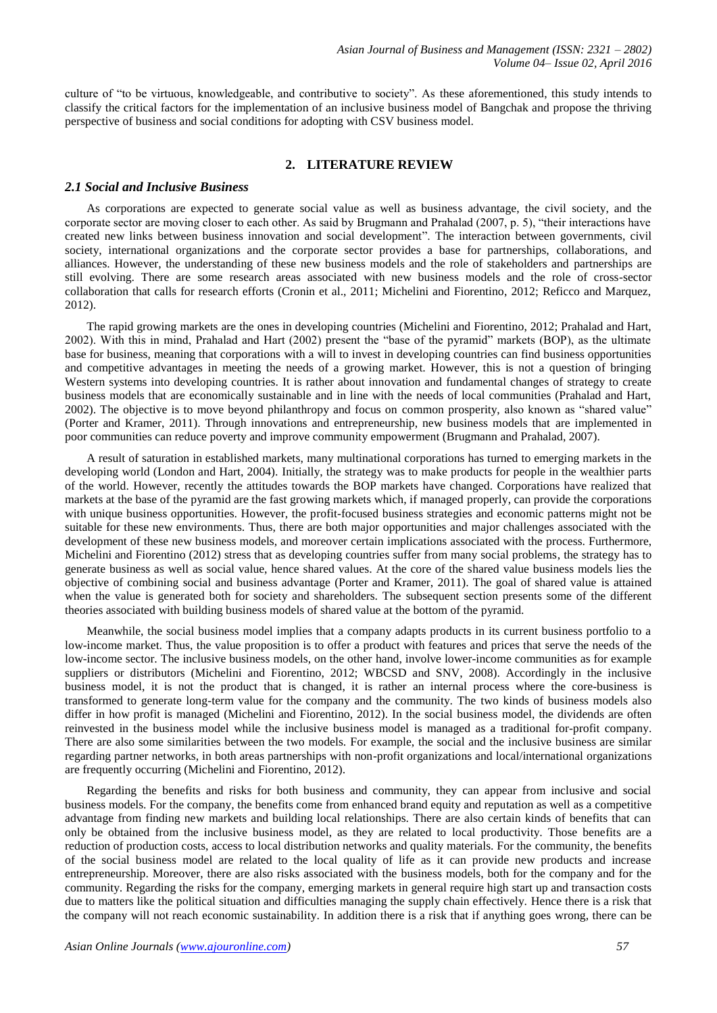culture of "to be virtuous, knowledgeable, and contributive to society". As these aforementioned, this study intends to classify the critical factors for the implementation of an inclusive business model of Bangchak and propose the thriving perspective of business and social conditions for adopting with CSV business model.

## **2. LITERATURE REVIEW**

## *2.1 Social and Inclusive Business*

As corporations are expected to generate social value as well as business advantage, the civil society, and the corporate sector are moving closer to each other. As said by Brugmann and Prahalad (2007, p. 5), "their interactions have created new links between business innovation and social development". The interaction between governments, civil society, international organizations and the corporate sector provides a base for partnerships, collaborations, and alliances. However, the understanding of these new business models and the role of stakeholders and partnerships are still evolving. There are some research areas associated with new business models and the role of cross-sector collaboration that calls for research efforts (Cronin et al., 2011; Michelini and Fiorentino, 2012; Reficco and Marquez, 2012).

The rapid growing markets are the ones in developing countries (Michelini and Fiorentino, 2012; Prahalad and Hart, 2002). With this in mind, Prahalad and Hart (2002) present the "base of the pyramid" markets (BOP), as the ultimate base for business, meaning that corporations with a will to invest in developing countries can find business opportunities and competitive advantages in meeting the needs of a growing market. However, this is not a question of bringing Western systems into developing countries. It is rather about innovation and fundamental changes of strategy to create business models that are economically sustainable and in line with the needs of local communities (Prahalad and Hart, 2002). The objective is to move beyond philanthropy and focus on common prosperity, also known as "shared value" (Porter and Kramer, 2011). Through innovations and entrepreneurship, new business models that are implemented in poor communities can reduce poverty and improve community empowerment (Brugmann and Prahalad, 2007).

A result of saturation in established markets, many multinational corporations has turned to emerging markets in the developing world (London and Hart, 2004). Initially, the strategy was to make products for people in the wealthier parts of the world. However, recently the attitudes towards the BOP markets have changed. Corporations have realized that markets at the base of the pyramid are the fast growing markets which, if managed properly, can provide the corporations with unique business opportunities. However, the profit-focused business strategies and economic patterns might not be suitable for these new environments. Thus, there are both major opportunities and major challenges associated with the development of these new business models, and moreover certain implications associated with the process. Furthermore, Michelini and Fiorentino (2012) stress that as developing countries suffer from many social problems, the strategy has to generate business as well as social value, hence shared values. At the core of the shared value business models lies the objective of combining social and business advantage (Porter and Kramer, 2011). The goal of shared value is attained when the value is generated both for society and shareholders. The subsequent section presents some of the different theories associated with building business models of shared value at the bottom of the pyramid.

Meanwhile, the social business model implies that a company adapts products in its current business portfolio to a low-income market. Thus, the value proposition is to offer a product with features and prices that serve the needs of the low-income sector. The inclusive business models, on the other hand, involve lower-income communities as for example suppliers or distributors (Michelini and Fiorentino, 2012; WBCSD and SNV, 2008). Accordingly in the inclusive business model, it is not the product that is changed, it is rather an internal process where the core-business is transformed to generate long-term value for the company and the community. The two kinds of business models also differ in how profit is managed (Michelini and Fiorentino, 2012). In the social business model, the dividends are often reinvested in the business model while the inclusive business model is managed as a traditional for-profit company. There are also some similarities between the two models. For example, the social and the inclusive business are similar regarding partner networks, in both areas partnerships with non-profit organizations and local/international organizations are frequently occurring (Michelini and Fiorentino, 2012).

Regarding the benefits and risks for both business and community, they can appear from inclusive and social business models. For the company, the benefits come from enhanced brand equity and reputation as well as a competitive advantage from finding new markets and building local relationships. There are also certain kinds of benefits that can only be obtained from the inclusive business model, as they are related to local productivity. Those benefits are a reduction of production costs, access to local distribution networks and quality materials. For the community, the benefits of the social business model are related to the local quality of life as it can provide new products and increase entrepreneurship. Moreover, there are also risks associated with the business models, both for the company and for the community. Regarding the risks for the company, emerging markets in general require high start up and transaction costs due to matters like the political situation and difficulties managing the supply chain effectively. Hence there is a risk that the company will not reach economic sustainability. In addition there is a risk that if anything goes wrong, there can be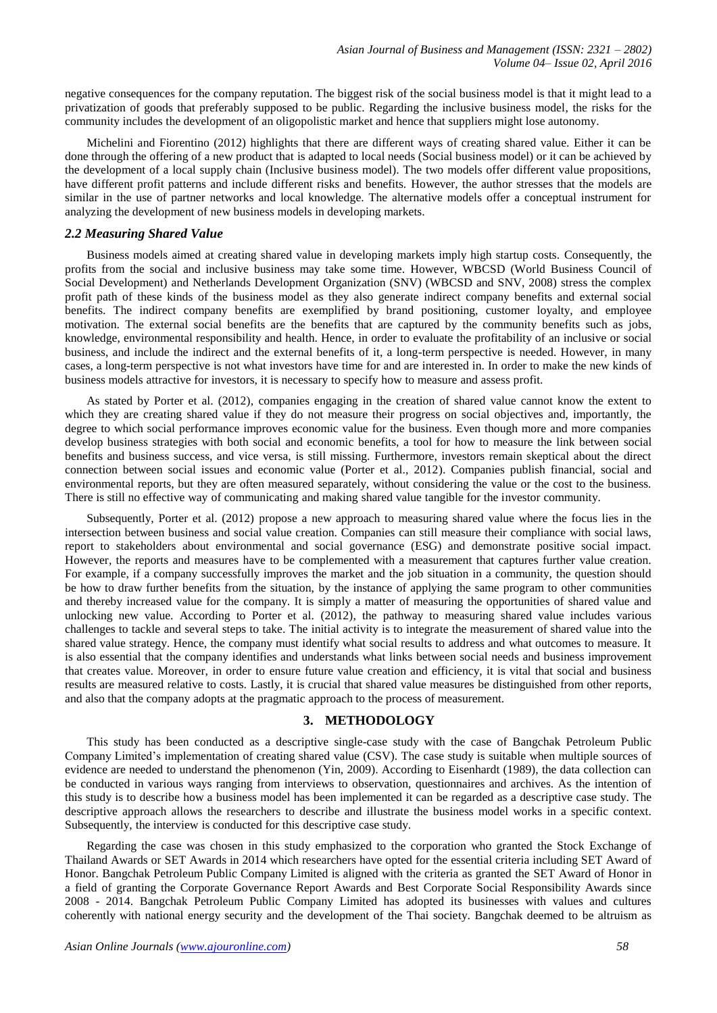negative consequences for the company reputation. The biggest risk of the social business model is that it might lead to a privatization of goods that preferably supposed to be public. Regarding the inclusive business model, the risks for the community includes the development of an oligopolistic market and hence that suppliers might lose autonomy.

Michelini and Fiorentino (2012) highlights that there are different ways of creating shared value. Either it can be done through the offering of a new product that is adapted to local needs (Social business model) or it can be achieved by the development of a local supply chain (Inclusive business model). The two models offer different value propositions, have different profit patterns and include different risks and benefits. However, the author stresses that the models are similar in the use of partner networks and local knowledge. The alternative models offer a conceptual instrument for analyzing the development of new business models in developing markets.

## *2.2 Measuring Shared Value*

Business models aimed at creating shared value in developing markets imply high startup costs. Consequently, the profits from the social and inclusive business may take some time. However, WBCSD (World Business Council of Social Development) and Netherlands Development Organization (SNV) (WBCSD and SNV, 2008) stress the complex profit path of these kinds of the business model as they also generate indirect company benefits and external social benefits. The indirect company benefits are exemplified by brand positioning, customer loyalty, and employee motivation. The external social benefits are the benefits that are captured by the community benefits such as jobs, knowledge, environmental responsibility and health. Hence, in order to evaluate the profitability of an inclusive or social business, and include the indirect and the external benefits of it, a long-term perspective is needed. However, in many cases, a long-term perspective is not what investors have time for and are interested in. In order to make the new kinds of business models attractive for investors, it is necessary to specify how to measure and assess profit.

As stated by Porter et al. (2012), companies engaging in the creation of shared value cannot know the extent to which they are creating shared value if they do not measure their progress on social objectives and, importantly, the degree to which social performance improves economic value for the business. Even though more and more companies develop business strategies with both social and economic benefits, a tool for how to measure the link between social benefits and business success, and vice versa, is still missing. Furthermore, investors remain skeptical about the direct connection between social issues and economic value (Porter et al., 2012). Companies publish financial, social and environmental reports, but they are often measured separately, without considering the value or the cost to the business. There is still no effective way of communicating and making shared value tangible for the investor community.

Subsequently, Porter et al. (2012) propose a new approach to measuring shared value where the focus lies in the intersection between business and social value creation. Companies can still measure their compliance with social laws, report to stakeholders about environmental and social governance (ESG) and demonstrate positive social impact. However, the reports and measures have to be complemented with a measurement that captures further value creation. For example, if a company successfully improves the market and the job situation in a community, the question should be how to draw further benefits from the situation, by the instance of applying the same program to other communities and thereby increased value for the company. It is simply a matter of measuring the opportunities of shared value and unlocking new value. According to Porter et al. (2012), the pathway to measuring shared value includes various challenges to tackle and several steps to take. The initial activity is to integrate the measurement of shared value into the shared value strategy. Hence, the company must identify what social results to address and what outcomes to measure. It is also essential that the company identifies and understands what links between social needs and business improvement that creates value. Moreover, in order to ensure future value creation and efficiency, it is vital that social and business results are measured relative to costs. Lastly, it is crucial that shared value measures be distinguished from other reports, and also that the company adopts at the pragmatic approach to the process of measurement.

## **3. METHODOLOGY**

This study has been conducted as a descriptive single-case study with the case of Bangchak Petroleum Public Company Limited"s implementation of creating shared value (CSV). The case study is suitable when multiple sources of evidence are needed to understand the phenomenon (Yin, 2009). According to Eisenhardt (1989), the data collection can be conducted in various ways ranging from interviews to observation, questionnaires and archives. As the intention of this study is to describe how a business model has been implemented it can be regarded as a descriptive case study. The descriptive approach allows the researchers to describe and illustrate the business model works in a specific context. Subsequently, the interview is conducted for this descriptive case study.

Regarding the case was chosen in this study emphasized to the corporation who granted the Stock Exchange of Thailand Awards or SET Awards in 2014 which researchers have opted for the essential criteria including SET Award of Honor. Bangchak Petroleum Public Company Limited is aligned with the criteria as granted the SET Award of Honor in a field of granting the Corporate Governance Report Awards and Best Corporate Social Responsibility Awards since 2008 - 2014. Bangchak Petroleum Public Company Limited has adopted its businesses with values and cultures coherently with national energy security and the development of the Thai society. Bangchak deemed to be altruism as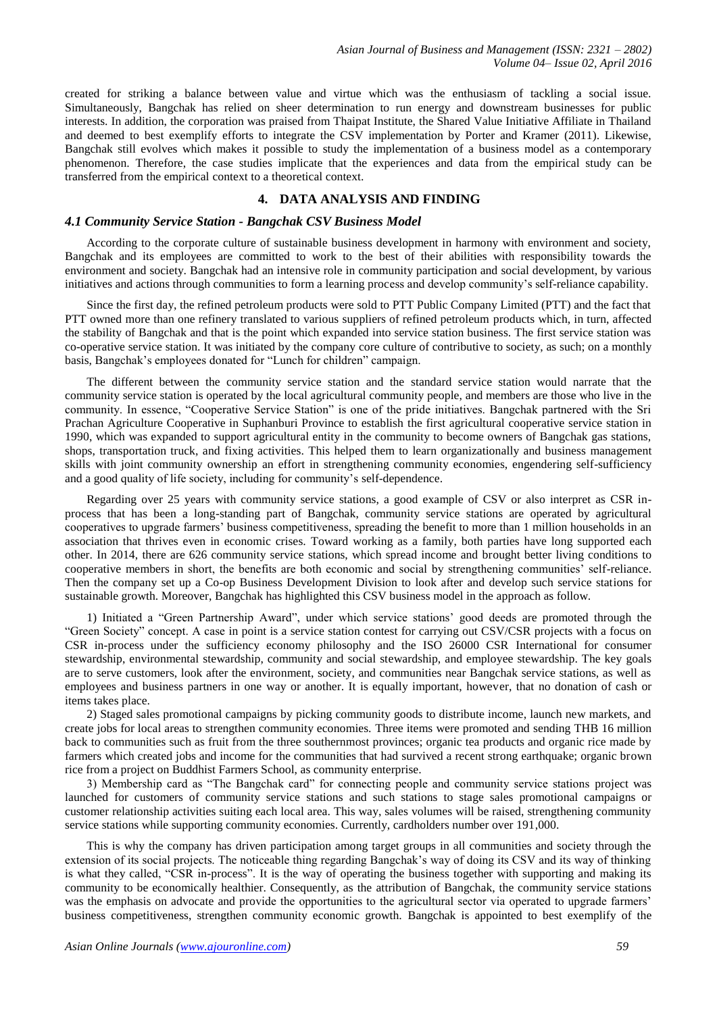created for striking a balance between value and virtue which was the enthusiasm of tackling a social issue. Simultaneously, Bangchak has relied on sheer determination to run energy and downstream businesses for public interests. In addition, the corporation was praised from Thaipat Institute, the Shared Value Initiative Affiliate in Thailand and deemed to best exemplify efforts to integrate the CSV implementation by Porter and Kramer (2011). Likewise, Bangchak still evolves which makes it possible to study the implementation of a business model as a contemporary phenomenon. Therefore, the case studies implicate that the experiences and data from the empirical study can be transferred from the empirical context to a theoretical context.

## **4. DATA ANALYSIS AND FINDING**

#### *4.1 Community Service Station - Bangchak CSV Business Model*

According to the corporate culture of sustainable business development in harmony with environment and society, Bangchak and its employees are committed to work to the best of their abilities with responsibility towards the environment and society. Bangchak had an intensive role in community participation and social development, by various initiatives and actions through communities to form a learning process and develop community"s self-reliance capability.

Since the first day, the refined petroleum products were sold to PTT Public Company Limited (PTT) and the fact that PTT owned more than one refinery translated to various suppliers of refined petroleum products which, in turn, affected the stability of Bangchak and that is the point which expanded into service station business. The first service station was co-operative service station. It was initiated by the company core culture of contributive to society, as such; on a monthly basis, Bangchak"s employees donated for "Lunch for children" campaign.

The different between the community service station and the standard service station would narrate that the community service station is operated by the local agricultural community people, and members are those who live in the community. In essence, "Cooperative Service Station" is one of the pride initiatives. Bangchak partnered with the Sri Prachan Agriculture Cooperative in Suphanburi Province to establish the first agricultural cooperative service station in 1990, which was expanded to support agricultural entity in the community to become owners of Bangchak gas stations, shops, transportation truck, and fixing activities. This helped them to learn organizationally and business management skills with joint community ownership an effort in strengthening community economies, engendering self-sufficiency and a good quality of life society, including for community's self-dependence.

Regarding over 25 years with community service stations, a good example of CSV or also interpret as CSR inprocess that has been a long-standing part of Bangchak, community service stations are operated by agricultural cooperatives to upgrade farmers" business competitiveness, spreading the benefit to more than 1 million households in an association that thrives even in economic crises. Toward working as a family, both parties have long supported each other. In 2014, there are 626 community service stations, which spread income and brought better living conditions to cooperative members in short, the benefits are both economic and social by strengthening communities" self-reliance. Then the company set up a Co-op Business Development Division to look after and develop such service stations for sustainable growth. Moreover, Bangchak has highlighted this CSV business model in the approach as follow.

1) Initiated a "Green Partnership Award", under which service stations" good deeds are promoted through the "Green Society" concept. A case in point is a service station contest for carrying out CSV/CSR projects with a focus on CSR in-process under the sufficiency economy philosophy and the ISO 26000 CSR International for consumer stewardship, environmental stewardship, community and social stewardship, and employee stewardship. The key goals are to serve customers, look after the environment, society, and communities near Bangchak service stations, as well as employees and business partners in one way or another. It is equally important, however, that no donation of cash or items takes place.

2) Staged sales promotional campaigns by picking community goods to distribute income, launch new markets, and create jobs for local areas to strengthen community economies. Three items were promoted and sending THB 16 million back to communities such as fruit from the three southernmost provinces; organic tea products and organic rice made by farmers which created jobs and income for the communities that had survived a recent strong earthquake; organic brown rice from a project on Buddhist Farmers School, as community enterprise.

3) Membership card as "The Bangchak card" for connecting people and community service stations project was launched for customers of community service stations and such stations to stage sales promotional campaigns or customer relationship activities suiting each local area. This way, sales volumes will be raised, strengthening community service stations while supporting community economies. Currently, cardholders number over 191,000.

This is why the company has driven participation among target groups in all communities and society through the extension of its social projects. The noticeable thing regarding Bangchak"s way of doing its CSV and its way of thinking is what they called, "CSR in-process". It is the way of operating the business together with supporting and making its community to be economically healthier. Consequently, as the attribution of Bangchak, the community service stations was the emphasis on advocate and provide the opportunities to the agricultural sector via operated to upgrade farmers' business competitiveness, strengthen community economic growth. Bangchak is appointed to best exemplify of the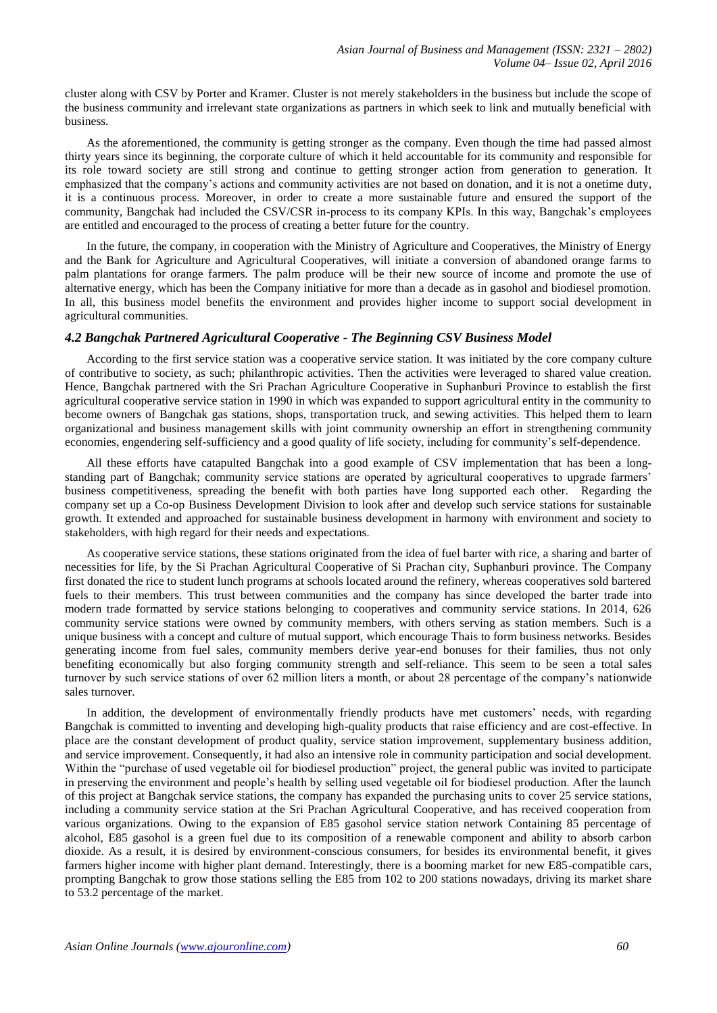cluster along with CSV by Porter and Kramer. Cluster is not merely stakeholders in the business but include the scope of the business community and irrelevant state organizations as partners in which seek to link and mutually beneficial with business.

As the aforementioned, the community is getting stronger as the company. Even though the time had passed almost thirty years since its beginning, the corporate culture of which it held accountable for its community and responsible for its role toward society are still strong and continue to getting stronger action from generation to generation. It emphasized that the company's actions and community activities are not based on donation, and it is not a onetime duty, it is a continuous process. Moreover, in order to create a more sustainable future and ensured the support of the community, Bangchak had included the CSV/CSR in-process to its company KPIs. In this way, Bangchak"s employees are entitled and encouraged to the process of creating a better future for the country.

In the future, the company, in cooperation with the Ministry of Agriculture and Cooperatives, the Ministry of Energy and the Bank for Agriculture and Agricultural Cooperatives, will initiate a conversion of abandoned orange farms to palm plantations for orange farmers. The palm produce will be their new source of income and promote the use of alternative energy, which has been the Company initiative for more than a decade as in gasohol and biodiesel promotion. In all, this business model benefits the environment and provides higher income to support social development in agricultural communities.

## *4.2 Bangchak Partnered Agricultural Cooperative - The Beginning CSV Business Model*

According to the first service station was a cooperative service station. It was initiated by the core company culture of contributive to society, as such; philanthropic activities. Then the activities were leveraged to shared value creation. Hence, Bangchak partnered with the Sri Prachan Agriculture Cooperative in Suphanburi Province to establish the first agricultural cooperative service station in 1990 in which was expanded to support agricultural entity in the community to become owners of Bangchak gas stations, shops, transportation truck, and sewing activities. This helped them to learn organizational and business management skills with joint community ownership an effort in strengthening community economies, engendering self-sufficiency and a good quality of life society, including for community"s self-dependence.

All these efforts have catapulted Bangchak into a good example of CSV implementation that has been a longstanding part of Bangchak; community service stations are operated by agricultural cooperatives to upgrade farmers" business competitiveness, spreading the benefit with both parties have long supported each other. Regarding the company set up a Co-op Business Development Division to look after and develop such service stations for sustainable growth. It extended and approached for sustainable business development in harmony with environment and society to stakeholders, with high regard for their needs and expectations.

As cooperative service stations, these stations originated from the idea of fuel barter with rice, a sharing and barter of necessities for life, by the Si Prachan Agricultural Cooperative of Si Prachan city, Suphanburi province. The Company first donated the rice to student lunch programs at schools located around the refinery, whereas cooperatives sold bartered fuels to their members. This trust between communities and the company has since developed the barter trade into modern trade formatted by service stations belonging to cooperatives and community service stations. In 2014, 626 community service stations were owned by community members, with others serving as station members. Such is a unique business with a concept and culture of mutual support, which encourage Thais to form business networks. Besides generating income from fuel sales, community members derive year-end bonuses for their families, thus not only benefiting economically but also forging community strength and self-reliance. This seem to be seen a total sales turnover by such service stations of over 62 million liters a month, or about 28 percentage of the company"s nationwide sales turnover.

In addition, the development of environmentally friendly products have met customers" needs, with regarding Bangchak is committed to inventing and developing high-quality products that raise efficiency and are cost-effective. In place are the constant development of product quality, service station improvement, supplementary business addition, and service improvement. Consequently, it had also an intensive role in community participation and social development. Within the "purchase of used vegetable oil for biodiesel production" project, the general public was invited to participate in preserving the environment and people"s health by selling used vegetable oil for biodiesel production. After the launch of this project at Bangchak service stations, the company has expanded the purchasing units to cover 25 service stations, including a community service station at the Sri Prachan Agricultural Cooperative, and has received cooperation from various organizations. Owing to the expansion of E85 gasohol service station network Containing 85 percentage of alcohol, E85 gasohol is a green fuel due to its composition of a renewable component and ability to absorb carbon dioxide. As a result, it is desired by environment-conscious consumers, for besides its environmental benefit, it gives farmers higher income with higher plant demand. Interestingly, there is a booming market for new E85-compatible cars, prompting Bangchak to grow those stations selling the E85 from 102 to 200 stations nowadays, driving its market share to 53.2 percentage of the market.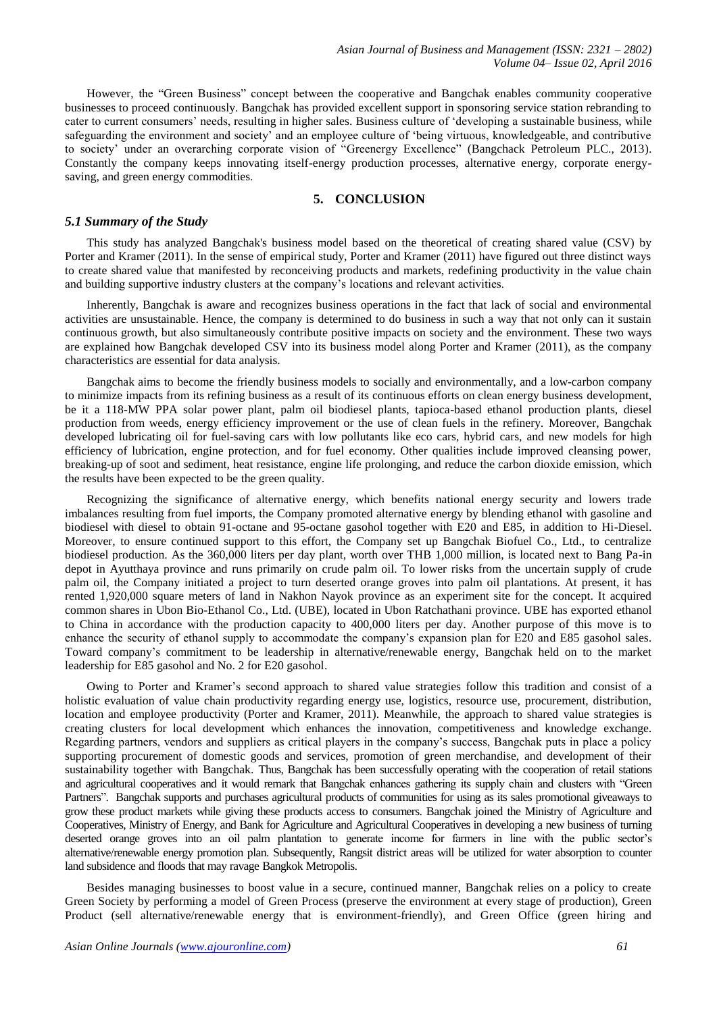However, the "Green Business" concept between the cooperative and Bangchak enables community cooperative businesses to proceed continuously. Bangchak has provided excellent support in sponsoring service station rebranding to cater to current consumers" needs, resulting in higher sales. Business culture of "developing a sustainable business, while safeguarding the environment and society" and an employee culture of "being virtuous, knowledgeable, and contributive to society' under an overarching corporate vision of "Greenergy Excellence" (Bangchack Petroleum PLC., 2013). Constantly the company keeps innovating itself-energy production processes, alternative energy, corporate energysaving, and green energy commodities.

## **5. CONCLUSION**

#### *5.1 Summary of the Study*

This study has analyzed Bangchak's business model based on the theoretical of creating shared value (CSV) by Porter and Kramer (2011). In the sense of empirical study, Porter and Kramer (2011) have figured out three distinct ways to create shared value that manifested by reconceiving products and markets, redefining productivity in the value chain and building supportive industry clusters at the company"s locations and relevant activities.

Inherently, Bangchak is aware and recognizes business operations in the fact that lack of social and environmental activities are unsustainable. Hence, the company is determined to do business in such a way that not only can it sustain continuous growth, but also simultaneously contribute positive impacts on society and the environment. These two ways are explained how Bangchak developed CSV into its business model along Porter and Kramer (2011), as the company characteristics are essential for data analysis.

Bangchak aims to become the friendly business models to socially and environmentally, and a low-carbon company to minimize impacts from its refining business as a result of its continuous efforts on clean energy business development, be it a 118-MW PPA solar power plant, palm oil biodiesel plants, tapioca-based ethanol production plants, diesel production from weeds, energy efficiency improvement or the use of clean fuels in the refinery. Moreover, Bangchak developed lubricating oil for fuel-saving cars with low pollutants like eco cars, hybrid cars, and new models for high efficiency of lubrication, engine protection, and for fuel economy. Other qualities include improved cleansing power, breaking-up of soot and sediment, heat resistance, engine life prolonging, and reduce the carbon dioxide emission, which the results have been expected to be the green quality.

Recognizing the significance of alternative energy, which benefits national energy security and lowers trade imbalances resulting from fuel imports, the Company promoted alternative energy by blending ethanol with gasoline and biodiesel with diesel to obtain 91-octane and 95-octane gasohol together with E20 and E85, in addition to Hi-Diesel. Moreover, to ensure continued support to this effort, the Company set up Bangchak Biofuel Co., Ltd., to centralize biodiesel production. As the 360,000 liters per day plant, worth over THB 1,000 million, is located next to Bang Pa-in depot in Ayutthaya province and runs primarily on crude palm oil. To lower risks from the uncertain supply of crude palm oil, the Company initiated a project to turn deserted orange groves into palm oil plantations. At present, it has rented 1,920,000 square meters of land in Nakhon Nayok province as an experiment site for the concept. It acquired common shares in Ubon Bio-Ethanol Co., Ltd. (UBE), located in Ubon Ratchathani province. UBE has exported ethanol to China in accordance with the production capacity to 400,000 liters per day. Another purpose of this move is to enhance the security of ethanol supply to accommodate the company"s expansion plan for E20 and E85 gasohol sales. Toward company"s commitment to be leadership in alternative/renewable energy, Bangchak held on to the market leadership for E85 gasohol and No. 2 for E20 gasohol.

Owing to Porter and Kramer"s second approach to shared value strategies follow this tradition and consist of a holistic evaluation of value chain productivity regarding energy use, logistics, resource use, procurement, distribution, location and employee productivity (Porter and Kramer, 2011). Meanwhile, the approach to shared value strategies is creating clusters for local development which enhances the innovation, competitiveness and knowledge exchange. Regarding partners, vendors and suppliers as critical players in the company"s success, Bangchak puts in place a policy supporting procurement of domestic goods and services, promotion of green merchandise, and development of their sustainability together with Bangchak. Thus, Bangchak has been successfully operating with the cooperation of retail stations and agricultural cooperatives and it would remark that Bangchak enhances gathering its supply chain and clusters with "Green Partners". Bangchak supports and purchases agricultural products of communities for using as its sales promotional giveaways to grow these product markets while giving these products access to consumers. Bangchak joined the Ministry of Agriculture and Cooperatives, Ministry of Energy, and Bank for Agriculture and Agricultural Cooperatives in developing a new business of turning deserted orange groves into an oil palm plantation to generate income for farmers in line with the public sector's alternative/renewable energy promotion plan. Subsequently, Rangsit district areas will be utilized for water absorption to counter land subsidence and floods that may ravage Bangkok Metropolis.

Besides managing businesses to boost value in a secure, continued manner, Bangchak relies on a policy to create Green Society by performing a model of Green Process (preserve the environment at every stage of production), Green Product (sell alternative/renewable energy that is environment-friendly), and Green Office (green hiring and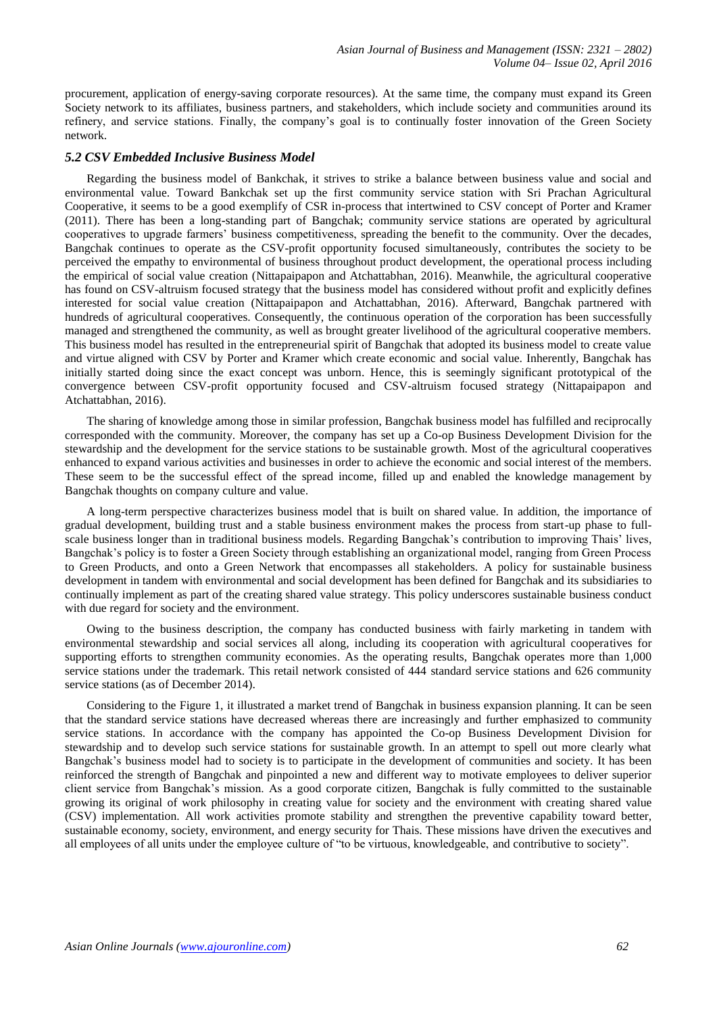procurement, application of energy-saving corporate resources). At the same time, the company must expand its Green Society network to its affiliates, business partners, and stakeholders, which include society and communities around its refinery, and service stations. Finally, the company"s goal is to continually foster innovation of the Green Society network.

## *5.2 CSV Embedded Inclusive Business Model*

Regarding the business model of Bankchak, it strives to strike a balance between business value and social and environmental value. Toward Bankchak set up the first community service station with Sri Prachan Agricultural Cooperative, it seems to be a good exemplify of CSR in-process that intertwined to CSV concept of Porter and Kramer (2011). There has been a long-standing part of Bangchak; community service stations are operated by agricultural cooperatives to upgrade farmers" business competitiveness, spreading the benefit to the community. Over the decades, Bangchak continues to operate as the CSV-profit opportunity focused simultaneously, contributes the society to be perceived the empathy to environmental of business throughout product development, the operational process including the empirical of social value creation (Nittapaipapon and Atchattabhan, 2016). Meanwhile, the agricultural cooperative has found on CSV-altruism focused strategy that the business model has considered without profit and explicitly defines interested for social value creation (Nittapaipapon and Atchattabhan, 2016). Afterward, Bangchak partnered with hundreds of agricultural cooperatives. Consequently, the continuous operation of the corporation has been successfully managed and strengthened the community, as well as brought greater livelihood of the agricultural cooperative members. This business model has resulted in the entrepreneurial spirit of Bangchak that adopted its business model to create value and virtue aligned with CSV by Porter and Kramer which create economic and social value. Inherently, Bangchak has initially started doing since the exact concept was unborn. Hence, this is seemingly significant prototypical of the convergence between CSV-profit opportunity focused and CSV-altruism focused strategy (Nittapaipapon and Atchattabhan, 2016).

The sharing of knowledge among those in similar profession, Bangchak business model has fulfilled and reciprocally corresponded with the community. Moreover, the company has set up a Co-op Business Development Division for the stewardship and the development for the service stations to be sustainable growth. Most of the agricultural cooperatives enhanced to expand various activities and businesses in order to achieve the economic and social interest of the members. These seem to be the successful effect of the spread income, filled up and enabled the knowledge management by Bangchak thoughts on company culture and value.

A long-term perspective characterizes business model that is built on shared value. In addition, the importance of gradual development, building trust and a stable business environment makes the process from start-up phase to fullscale business longer than in traditional business models. Regarding Bangchak"s contribution to improving Thais" lives, Bangchak"s policy is to foster a Green Society through establishing an organizational model, ranging from Green Process to Green Products, and onto a Green Network that encompasses all stakeholders. A policy for sustainable business development in tandem with environmental and social development has been defined for Bangchak and its subsidiaries to continually implement as part of the creating shared value strategy. This policy underscores sustainable business conduct with due regard for society and the environment.

Owing to the business description, the company has conducted business with fairly marketing in tandem with environmental stewardship and social services all along, including its cooperation with agricultural cooperatives for supporting efforts to strengthen community economies. As the operating results, Bangchak operates more than 1,000 service stations under the trademark. This retail network consisted of 444 standard service stations and 626 community service stations (as of December 2014).

Considering to the Figure 1, it illustrated a market trend of Bangchak in business expansion planning. It can be seen that the standard service stations have decreased whereas there are increasingly and further emphasized to community service stations. In accordance with the company has appointed the Co-op Business Development Division for stewardship and to develop such service stations for sustainable growth. In an attempt to spell out more clearly what Bangchak"s business model had to society is to participate in the development of communities and society. It has been reinforced the strength of Bangchak and pinpointed a new and different way to motivate employees to deliver superior client service from Bangchak"s mission. As a good corporate citizen, Bangchak is fully committed to the sustainable growing its original of work philosophy in creating value for society and the environment with creating shared value (CSV) implementation. All work activities promote stability and strengthen the preventive capability toward better, sustainable economy, society, environment, and energy security for Thais. These missions have driven the executives and all employees of all units under the employee culture of "to be virtuous, knowledgeable, and contributive to society".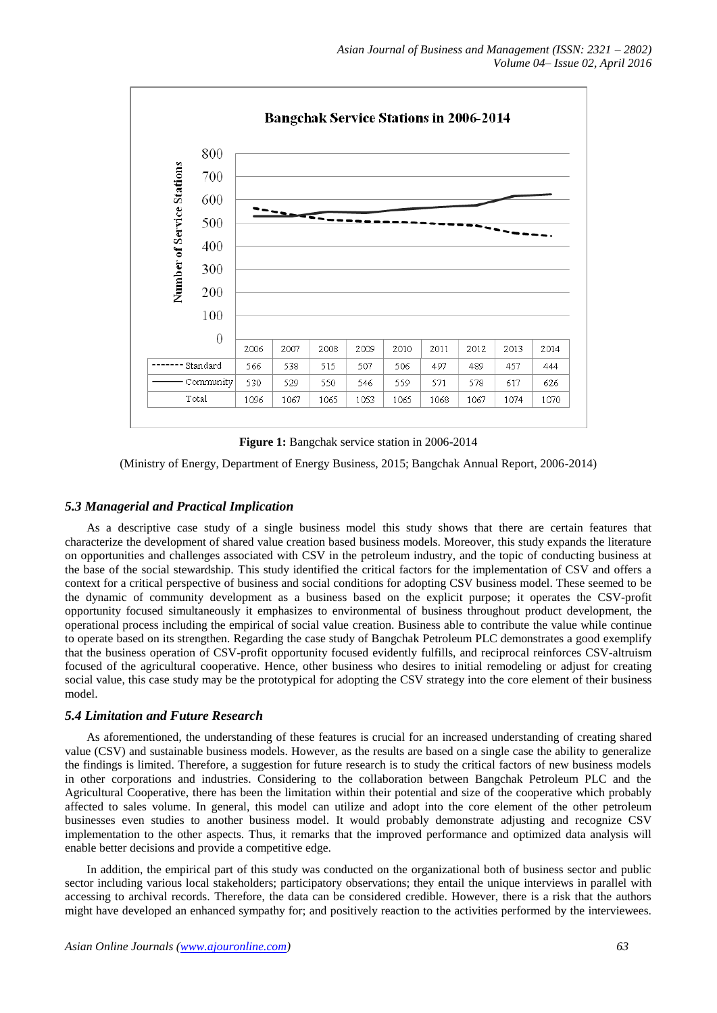

**Figure 1:** Bangchak service station in 2006-2014

(Ministry of Energy, Department of Energy Business, 2015; Bangchak Annual Report, 2006-2014)

## *5.3 Managerial and Practical Implication*

As a descriptive case study of a single business model this study shows that there are certain features that characterize the development of shared value creation based business models. Moreover, this study expands the literature on opportunities and challenges associated with CSV in the petroleum industry, and the topic of conducting business at the base of the social stewardship. This study identified the critical factors for the implementation of CSV and offers a context for a critical perspective of business and social conditions for adopting CSV business model. These seemed to be the dynamic of community development as a business based on the explicit purpose; it operates the CSV-profit opportunity focused simultaneously it emphasizes to environmental of business throughout product development, the operational process including the empirical of social value creation. Business able to contribute the value while continue to operate based on its strengthen. Regarding the case study of Bangchak Petroleum PLC demonstrates a good exemplify that the business operation of CSV-profit opportunity focused evidently fulfills, and reciprocal reinforces CSV-altruism focused of the agricultural cooperative. Hence, other business who desires to initial remodeling or adjust for creating social value, this case study may be the prototypical for adopting the CSV strategy into the core element of their business model.

## *5.4 Limitation and Future Research*

As aforementioned, the understanding of these features is crucial for an increased understanding of creating shared value (CSV) and sustainable business models. However, as the results are based on a single case the ability to generalize the findings is limited. Therefore, a suggestion for future research is to study the critical factors of new business models in other corporations and industries. Considering to the collaboration between Bangchak Petroleum PLC and the Agricultural Cooperative, there has been the limitation within their potential and size of the cooperative which probably affected to sales volume. In general, this model can utilize and adopt into the core element of the other petroleum businesses even studies to another business model. It would probably demonstrate adjusting and recognize CSV implementation to the other aspects. Thus, it remarks that the improved performance and optimized data analysis will enable better decisions and provide a competitive edge.

In addition, the empirical part of this study was conducted on the organizational both of business sector and public sector including various local stakeholders; participatory observations; they entail the unique interviews in parallel with accessing to archival records. Therefore, the data can be considered credible. However, there is a risk that the authors might have developed an enhanced sympathy for; and positively reaction to the activities performed by the interviewees.